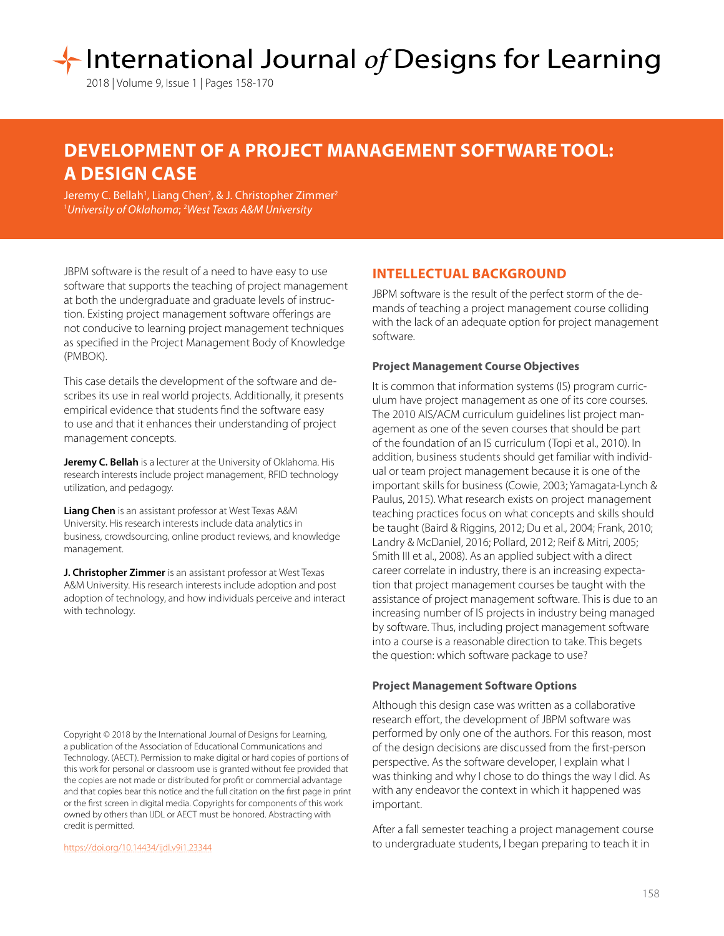# International Journal of Designs for Learning

2018 | Volume 9, Issue 1 | Pages 158-170

# **DEVELOPMENT OF A PROJECT MANAGEMENT SOFTWARE TOOL: A DESIGN CASE**

Jeremy C. Bellah<sup>1</sup>, Liang Chen<sup>2</sup>, & J. Christopher Zimmer<sup>2</sup> 1 *University of Oklahoma*; 2 *West Texas A&M University*

JBPM software is the result of a need to have easy to use software that supports the teaching of project management at both the undergraduate and graduate levels of instruction. Existing project management software offerings are not conducive to learning project management techniques as specified in the Project Management Body of Knowledge (PMBOK).

This case details the development of the software and describes its use in real world projects. Additionally, it presents empirical evidence that students find the software easy to use and that it enhances their understanding of project management concepts.

**Jeremy C. Bellah** is a lecturer at the University of Oklahoma. His research interests include project management, RFID technology utilization, and pedagogy.

**Liang Chen** is an assistant professor at West Texas A&M University. His research interests include data analytics in business, crowdsourcing, online product reviews, and knowledge management.

**J. Christopher Zimmer** is an assistant professor at West Texas A&M University. His research interests include adoption and post adoption of technology, and how individuals perceive and interact with technology.

Copyright © 2018 by the International Journal of Designs for Learning, a publication of the Association of Educational Communications and Technology. (AECT). Permission to make digital or hard copies of portions of this work for personal or classroom use is granted without fee provided that the copies are not made or distributed for profit or commercial advantage and that copies bear this notice and the full citation on the first page in print or the first screen in digital media. Copyrights for components of this work owned by others than IJDL or AECT must be honored. Abstracting with credit is permitted.

[https://doi.org/](https://doi.org/10.14434/ijdl.v9i1.23344)10.14434/ijdl.v9i1.23344

# **INTELLECTUAL BACKGROUND**

JBPM software is the result of the perfect storm of the demands of teaching a project management course colliding with the lack of an adequate option for project management software.

#### **Project Management Course Objectives**

It is common that information systems (IS) program curriculum have project management as one of its core courses. The 2010 AIS/ACM curriculum guidelines list project management as one of the seven courses that should be part of the foundation of an IS curriculum (Topi et al., 2010). In addition, business students should get familiar with individual or team project management because it is one of the important skills for business (Cowie, 2003; Yamagata-Lynch & Paulus, 2015). What research exists on project management teaching practices focus on what concepts and skills should be taught (Baird & Riggins, 2012; Du et al., 2004; Frank, 2010; Landry & McDaniel, 2016; Pollard, 2012; Reif & Mitri, 2005; Smith III et al., 2008). As an applied subject with a direct career correlate in industry, there is an increasing expectation that project management courses be taught with the assistance of project management software. This is due to an increasing number of IS projects in industry being managed by software. Thus, including project management software into a course is a reasonable direction to take. This begets the question: which software package to use?

#### **Project Management Software Options**

Although this design case was written as a collaborative research effort, the development of JBPM software was performed by only one of the authors. For this reason, most of the design decisions are discussed from the first-person perspective. As the software developer, I explain what I was thinking and why I chose to do things the way I did. As with any endeavor the context in which it happened was important.

After a fall semester teaching a project management course to undergraduate students, I began preparing to teach it in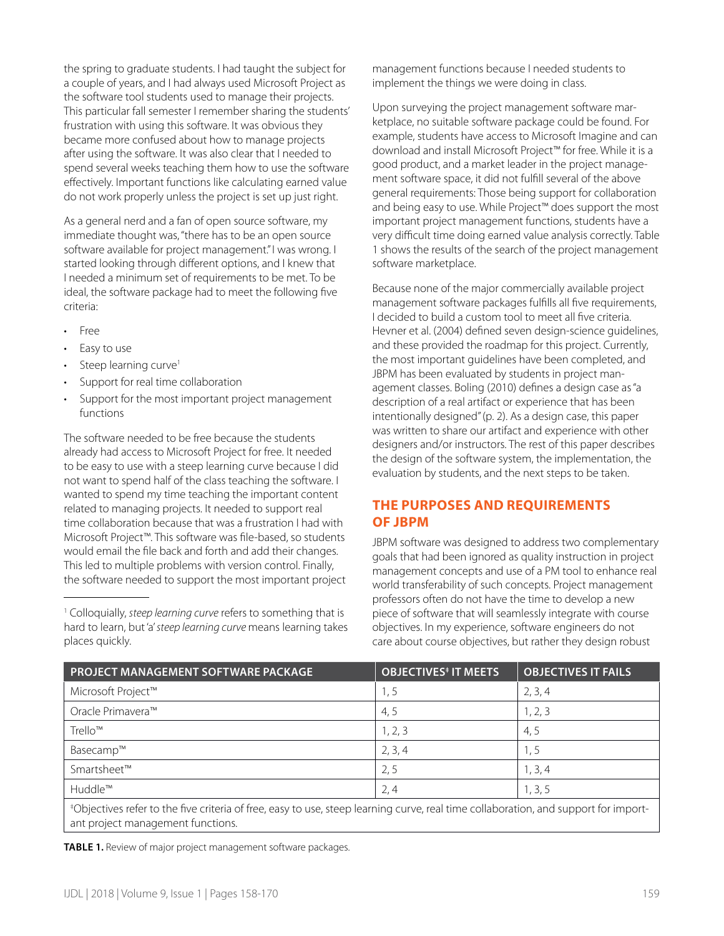the spring to graduate students. I had taught the subject for a couple of years, and I had always used Microsoft Project as the software tool students used to manage their projects. This particular fall semester I remember sharing the students' frustration with using this software. It was obvious they became more confused about how to manage projects after using the software. It was also clear that I needed to spend several weeks teaching them how to use the software effectively. Important functions like calculating earned value do not work properly unless the project is set up just right.

As a general nerd and a fan of open source software, my immediate thought was, "there has to be an open source software available for project management." I was wrong. I started looking through different options, and I knew that I needed a minimum set of requirements to be met. To be ideal, the software package had to meet the following five criteria:

- Free
- Easy to use
- Steep learning curve<sup>1</sup>
- Support for real time collaboration
- Support for the most important project management functions

The software needed to be free because the students already had access to Microsoft Project for free. It needed to be easy to use with a steep learning curve because I did not want to spend half of the class teaching the software. I wanted to spend my time teaching the important content related to managing projects. It needed to support real time collaboration because that was a frustration I had with Microsoft Project™. This software was file-based, so students would email the file back and forth and add their changes. This led to multiple problems with version control. Finally, the software needed to support the most important project management functions because I needed students to implement the things we were doing in class.

Upon surveying the project management software marketplace, no suitable software package could be found. For example, students have access to Microsoft Imagine and can download and install Microsoft Project™ for free. While it is a good product, and a market leader in the project management software space, it did not fulfill several of the above general requirements: Those being support for collaboration and being easy to use. While Project™ does support the most important project management functions, students have a very difficult time doing earned value analysis correctly. Table 1 shows the results of the search of the project management software marketplace.

Because none of the major commercially available project management software packages fulfills all five requirements, I decided to build a custom tool to meet all five criteria. Hevner et al. (2004) defined seven design-science guidelines, and these provided the roadmap for this project. Currently, the most important guidelines have been completed, and JBPM has been evaluated by students in project management classes. Boling (2010) defines a design case as "a description of a real artifact or experience that has been intentionally designed" (p. 2). As a design case, this paper was written to share our artifact and experience with other designers and/or instructors. The rest of this paper describes the design of the software system, the implementation, the evaluation by students, and the next steps to be taken.

# **THE PURPOSES AND REQUIREMENTS OF JBPM**

JBPM software was designed to address two complementary goals that had been ignored as quality instruction in project management concepts and use of a PM tool to enhance real world transferability of such concepts. Project management professors often do not have the time to develop a new piece of software that will seamlessly integrate with course objectives. In my experience, software engineers do not care about course objectives, but rather they design robust

| <b>PROJECT MANAGEMENT SOFTWARE PACKAGE</b>                                                                                                                               | <b>OBJECTIVES<sup>#</sup> IT MEETS</b> | <b>OBJECTIVES IT FAILS</b> |  |  |
|--------------------------------------------------------------------------------------------------------------------------------------------------------------------------|----------------------------------------|----------------------------|--|--|
| Microsoft Project™                                                                                                                                                       | 1,5                                    | 2, 3, 4                    |  |  |
| Oracle Primavera™                                                                                                                                                        | 4, 5                                   | 1, 2, 3                    |  |  |
| Trello™                                                                                                                                                                  | 1, 2, 3                                | 4,5                        |  |  |
| Basecamp™                                                                                                                                                                | 2, 3, 4                                | 1,5                        |  |  |
| Smartsheet™                                                                                                                                                              | 2, 5                                   | 1, 3, 4                    |  |  |
| Huddle™                                                                                                                                                                  | 2,4                                    | 1, 3, 5                    |  |  |
| *Objectives refer to the five criteria of free, easy to use, steep learning curve, real time collaboration, and support for import-<br>ant project management functions. |                                        |                            |  |  |

**TABLE 1.** Review of major project management software packages.

<sup>&</sup>lt;sup>1</sup> Colloquially, *steep learning curve* refers to something that is hard to learn, but 'a' *steep learning curve* means learning takes places quickly.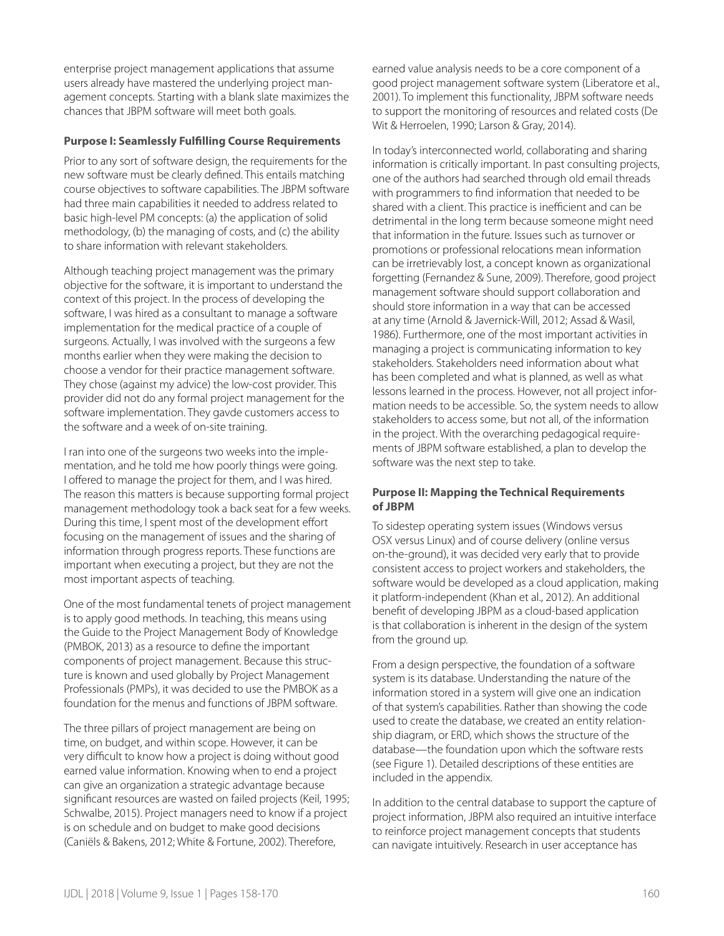enterprise project management applications that assume users already have mastered the underlying project management concepts. Starting with a blank slate maximizes the chances that JBPM software will meet both goals.

#### **Purpose I: Seamlessly Fulfilling Course Requirements**

Prior to any sort of software design, the requirements for the new software must be clearly defined. This entails matching course objectives to software capabilities. The JBPM software had three main capabilities it needed to address related to basic high-level PM concepts: (a) the application of solid methodology, (b) the managing of costs, and (c) the ability to share information with relevant stakeholders.

Although teaching project management was the primary objective for the software, it is important to understand the context of this project. In the process of developing the software, I was hired as a consultant to manage a software implementation for the medical practice of a couple of surgeons. Actually, I was involved with the surgeons a few months earlier when they were making the decision to choose a vendor for their practice management software. They chose (against my advice) the low-cost provider. This provider did not do any formal project management for the software implementation. They gavde customers access to the software and a week of on-site training.

I ran into one of the surgeons two weeks into the implementation, and he told me how poorly things were going. I offered to manage the project for them, and I was hired. The reason this matters is because supporting formal project management methodology took a back seat for a few weeks. During this time, I spent most of the development effort focusing on the management of issues and the sharing of information through progress reports. These functions are important when executing a project, but they are not the most important aspects of teaching.

One of the most fundamental tenets of project management is to apply good methods. In teaching, this means using the Guide to the Project Management Body of Knowledge (PMBOK, 2013) as a resource to define the important components of project management. Because this structure is known and used globally by Project Management Professionals (PMPs), it was decided to use the PMBOK as a foundation for the menus and functions of JBPM software.

The three pillars of project management are being on time, on budget, and within scope. However, it can be very difficult to know how a project is doing without good earned value information. Knowing when to end a project can give an organization a strategic advantage because significant resources are wasted on failed projects (Keil, 1995; Schwalbe, 2015). Project managers need to know if a project is on schedule and on budget to make good decisions (Caniëls & Bakens, 2012; White & Fortune, 2002). Therefore,

earned value analysis needs to be a core component of a good project management software system (Liberatore et al., 2001). To implement this functionality, JBPM software needs to support the monitoring of resources and related costs (De Wit & Herroelen, 1990; Larson & Gray, 2014).

In today's interconnected world, collaborating and sharing information is critically important. In past consulting projects, one of the authors had searched through old email threads with programmers to find information that needed to be shared with a client. This practice is inefficient and can be detrimental in the long term because someone might need that information in the future. Issues such as turnover or promotions or professional relocations mean information can be irretrievably lost, a concept known as organizational forgetting (Fernandez & Sune, 2009). Therefore, good project management software should support collaboration and should store information in a way that can be accessed at any time (Arnold & Javernick-Will, 2012; Assad & Wasil, 1986). Furthermore, one of the most important activities in managing a project is communicating information to key stakeholders. Stakeholders need information about what has been completed and what is planned, as well as what lessons learned in the process. However, not all project information needs to be accessible. So, the system needs to allow stakeholders to access some, but not all, of the information in the project. With the overarching pedagogical requirements of JBPM software established, a plan to develop the software was the next step to take.

#### **Purpose II: Mapping the Technical Requirements of JBPM**

To sidestep operating system issues (Windows versus OSX versus Linux) and of course delivery (online versus on-the-ground), it was decided very early that to provide consistent access to project workers and stakeholders, the software would be developed as a cloud application, making it platform-independent (Khan et al., 2012). An additional benefit of developing JBPM as a cloud-based application is that collaboration is inherent in the design of the system from the ground up.

From a design perspective, the foundation of a software system is its database. Understanding the nature of the information stored in a system will give one an indication of that system's capabilities. Rather than showing the code used to create the database, we created an entity relationship diagram, or ERD, which shows the structure of the database—the foundation upon which the software rests (see Figure 1). Detailed descriptions of these entities are included in the appendix.

In addition to the central database to support the capture of project information, JBPM also required an intuitive interface to reinforce project management concepts that students can navigate intuitively. Research in user acceptance has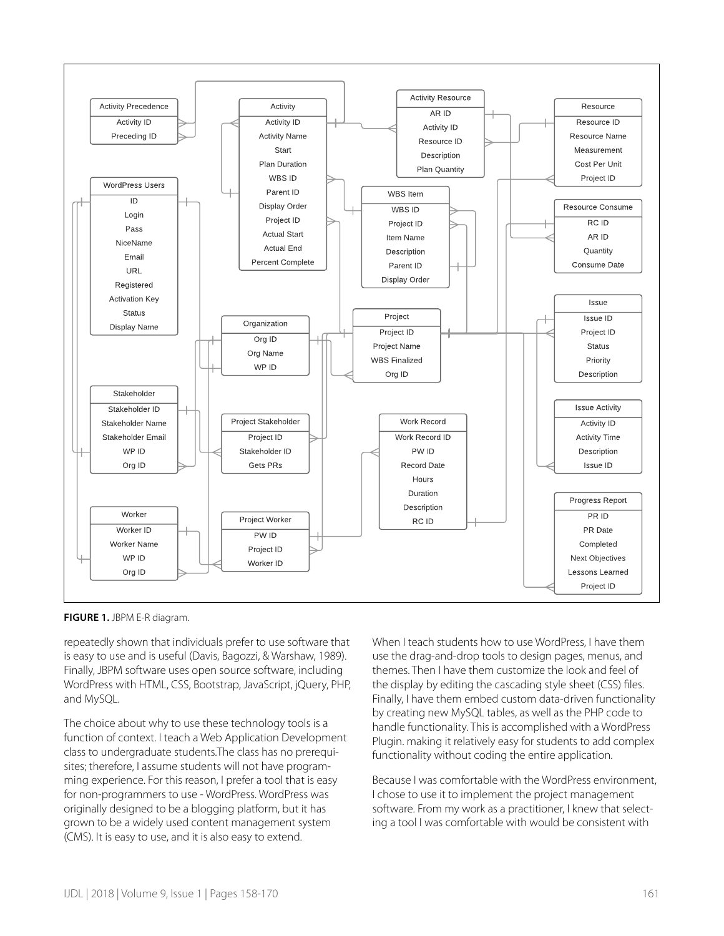

**FIGURE 1.** JBPM E-R diagram.

repeatedly shown that individuals prefer to use software that is easy to use and is useful (Davis, Bagozzi, & Warshaw, 1989). Finally, JBPM software uses open source software, including WordPress with HTML, CSS, Bootstrap, JavaScript, jQuery, PHP, and MySQL.

The choice about why to use these technology tools is a function of context. I teach a Web Application Development class to undergraduate students.The class has no prerequisites; therefore, I assume students will not have programming experience. For this reason, I prefer a tool that is easy for non-programmers to use - WordPress. WordPress was originally designed to be a blogging platform, but it has grown to be a widely used content management system (CMS). It is easy to use, and it is also easy to extend.

When I teach students how to use WordPress, I have them use the drag-and-drop tools to design pages, menus, and themes. Then I have them customize the look and feel of the display by editing the cascading style sheet (CSS) files. Finally, I have them embed custom data-driven functionality by creating new MySQL tables, as well as the PHP code to handle functionality. This is accomplished with a WordPress Plugin. making it relatively easy for students to add complex functionality without coding the entire application.

Because I was comfortable with the WordPress environment, I chose to use it to implement the project management software. From my work as a practitioner, I knew that selecting a tool I was comfortable with would be consistent with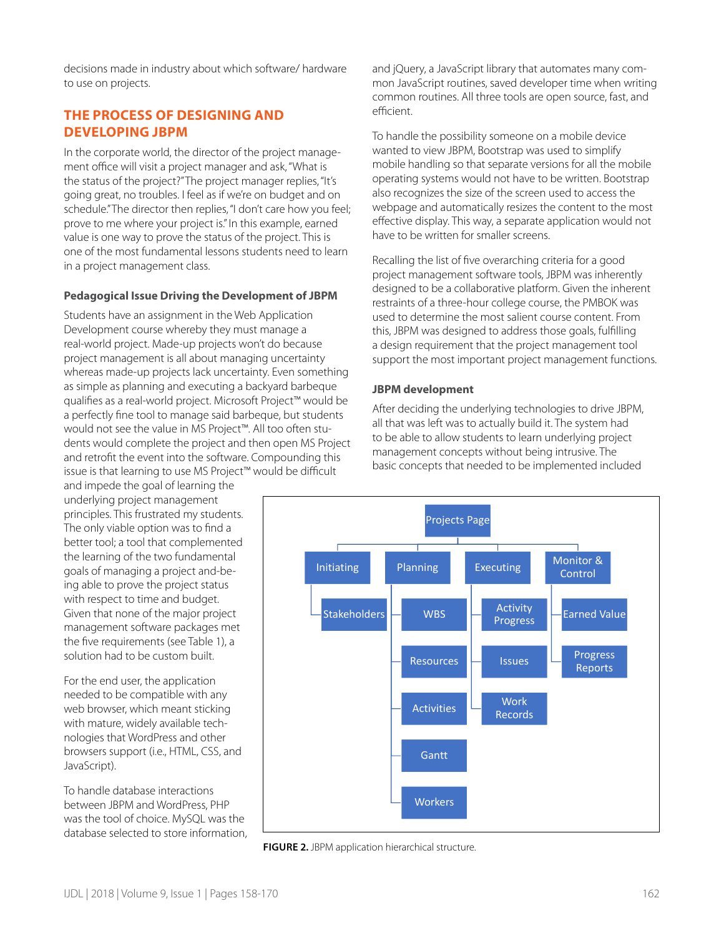decisions made in industry about which software/ hardware to use on projects.

## **THE PROCESS OF DESIGNING AND DEVELOPING JBPM**

In the corporate world, the director of the project management office will visit a project manager and ask, "What is the status of the project?" The project manager replies, "It's going great, no troubles. I feel as if we're on budget and on schedule." The director then replies, "I don't care how you feel; prove to me where your project is." In this example, earned value is one way to prove the status of the project. This is one of the most fundamental lessons students need to learn in a project management class.

#### **Pedagogical Issue Driving the Development of JBPM**

Students have an assignment in the Web Application Development course whereby they must manage a real-world project. Made-up projects won't do because project management is all about managing uncertainty whereas made-up projects lack uncertainty. Even something as simple as planning and executing a backyard barbeque qualifies as a real-world project. Microsoft Project™ would be a perfectly fine tool to manage said barbeque, but students would not see the value in MS Project™. All too often students would complete the project and then open MS Project and retrofit the event into the software. Compounding this issue is that learning to use MS Project™ would be difficult

and impede the goal of learning the underlying project management principles. This frustrated my students. The only viable option was to find a better tool; a tool that complemented the learning of the two fundamental goals of managing a project and-being able to prove the project status with respect to time and budget. Given that none of the major project management software packages met the five requirements (see Table 1), a solution had to be custom built.

For the end user, the application needed to be compatible with any web browser, which meant sticking with mature, widely available technologies that WordPress and other browsers support (i.e., HTML, CSS, and JavaScript).

To handle database interactions between JBPM and WordPress, PHP was the tool of choice. MySQL was the database selected to store information, and jQuery, a JavaScript library that automates many common JavaScript routines, saved developer time when writing common routines. All three tools are open source, fast, and efficient.

To handle the possibility someone on a mobile device wanted to view JBPM, Bootstrap was used to simplify mobile handling so that separate versions for all the mobile operating systems would not have to be written. Bootstrap also recognizes the size of the screen used to access the webpage and automatically resizes the content to the most effective display. This way, a separate application would not have to be written for smaller screens.

Recalling the list of five overarching criteria for a good project management software tools, JBPM was inherently designed to be a collaborative platform. Given the inherent restraints of a three-hour college course, the PMBOK was used to determine the most salient course content. From this, JBPM was designed to address those goals, fulfilling a design requirement that the project management tool support the most important project management functions.

#### **JBPM development**

After deciding the underlying technologies to drive JBPM, all that was left was to actually build it. The system had to be able to allow students to learn underlying project management concepts without being intrusive. The basic concepts that needed to be implemented included



**FIGURE 2.** JBPM application hierarchical structure.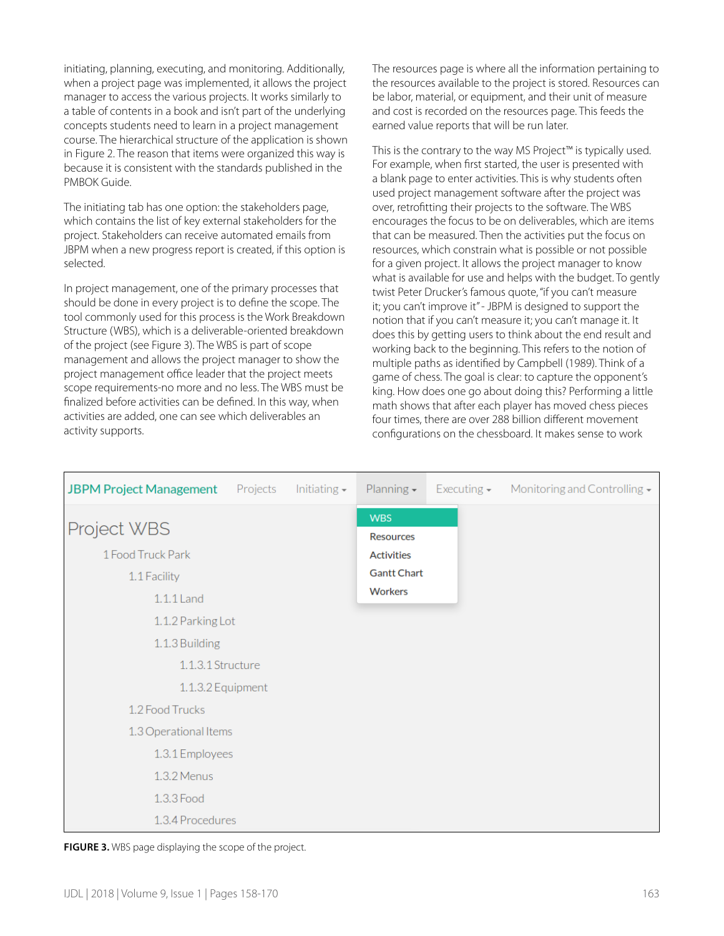initiating, planning, executing, and monitoring. Additionally, when a project page was implemented, it allows the project manager to access the various projects. It works similarly to a table of contents in a book and isn't part of the underlying concepts students need to learn in a project management course. The hierarchical structure of the application is shown in Figure 2. The reason that items were organized this way is because it is consistent with the standards published in the PMBOK Guide.

The initiating tab has one option: the stakeholders page, which contains the list of key external stakeholders for the project. Stakeholders can receive automated emails from JBPM when a new progress report is created, if this option is selected.

In project management, one of the primary processes that should be done in every project is to define the scope. The tool commonly used for this process is the Work Breakdown Structure (WBS), which is a deliverable-oriented breakdown of the project (see Figure 3). The WBS is part of scope management and allows the project manager to show the project management office leader that the project meets scope requirements-no more and no less. The WBS must be finalized before activities can be defined. In this way, when activities are added, one can see which deliverables an activity supports.

The resources page is where all the information pertaining to the resources available to the project is stored. Resources can be labor, material, or equipment, and their unit of measure and cost is recorded on the resources page. This feeds the earned value reports that will be run later.

This is the contrary to the way MS Project™ is typically used. For example, when first started, the user is presented with a blank page to enter activities. This is why students often used project management software after the project was over, retrofitting their projects to the software. The WBS encourages the focus to be on deliverables, which are items that can be measured. Then the activities put the focus on resources, which constrain what is possible or not possible for a given project. It allows the project manager to know what is available for use and helps with the budget. To gently twist Peter Drucker's famous quote, "if you can't measure it; you can't improve it" - JBPM is designed to support the notion that if you can't measure it; you can't manage it. It does this by getting users to think about the end result and working back to the beginning. This refers to the notion of multiple paths as identified by Campbell (1989). Think of a game of chess. The goal is clear: to capture the opponent's king. How does one go about doing this? Performing a little math shows that after each player has moved chess pieces four times, there are over 288 billion different movement configurations on the chessboard. It makes sense to work

| <b>JBPM Project Management</b><br>Projects | Initiating $\star$ | Planning $\star$               | Executing $\sim$ | Monitoring and Controlling $\star$ |
|--------------------------------------------|--------------------|--------------------------------|------------------|------------------------------------|
| Project WBS                                |                    | <b>WBS</b><br><b>Resources</b> |                  |                                    |
| 1 Food Truck Park                          |                    | <b>Activities</b>              |                  |                                    |
| 1.1 Facility                               |                    | <b>Gantt Chart</b>             |                  |                                    |
| 1.1.1 Land                                 |                    | <b>Workers</b>                 |                  |                                    |
| 1.1.2 Parking Lot                          |                    |                                |                  |                                    |
| 1.1.3 Building                             |                    |                                |                  |                                    |
| 1.1.3.1 Structure                          |                    |                                |                  |                                    |
| 1.1.3.2 Equipment                          |                    |                                |                  |                                    |
| 1.2 Food Trucks                            |                    |                                |                  |                                    |
| 1.3 Operational Items                      |                    |                                |                  |                                    |
| 1.3.1 Employees                            |                    |                                |                  |                                    |
| 1.3.2 Menus                                |                    |                                |                  |                                    |
| 1.3.3 Food                                 |                    |                                |                  |                                    |
| 1.3.4 Procedures                           |                    |                                |                  |                                    |

**FIGURE 3.** WBS page displaying the scope of the project.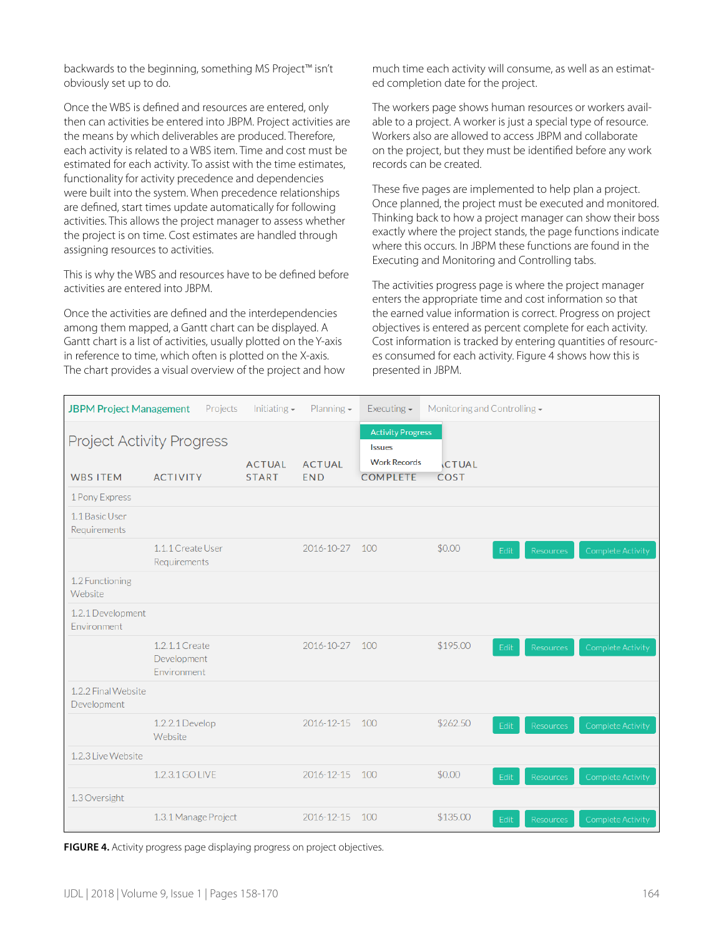backwards to the beginning, something MS Project™ isn't obviously set up to do.

Once the WBS is defined and resources are entered, only then can activities be entered into JBPM. Project activities are the means by which deliverables are produced. Therefore, each activity is related to a WBS item. Time and cost must be estimated for each activity. To assist with the time estimates, functionality for activity precedence and dependencies were built into the system. When precedence relationships are defined, start times update automatically for following activities. This allows the project manager to assess whether the project is on time. Cost estimates are handled through assigning resources to activities.

This is why the WBS and resources have to be defined before activities are entered into JBPM.

Once the activities are defined and the interdependencies among them mapped, a Gantt chart can be displayed. A Gantt chart is a list of activities, usually plotted on the Y-axis in reference to time, which often is plotted on the X-axis. The chart provides a visual overview of the project and how much time each activity will consume, as well as an estimated completion date for the project.

The workers page shows human resources or workers available to a project. A worker is just a special type of resource. Workers also are allowed to access JBPM and collaborate on the project, but they must be identified before any work records can be created.

These five pages are implemented to help plan a project. Once planned, the project must be executed and monitored. Thinking back to how a project manager can show their boss exactly where the project stands, the page functions indicate where this occurs. In JBPM these functions are found in the Executing and Monitoring and Controlling tabs.

The activities progress page is where the project manager enters the appropriate time and cost information so that the earned value information is correct. Progress on project objectives is entered as percent complete for each activity. Cost information is tracked by entering quantities of resources consumed for each activity. Figure 4 shows how this is presented in JBPM.

| <b>JBPM Project Management</b>     | Projects                                            | Initiating $\sim$             | Planning $\sim$             | Executing $\overline{\phantom{a}}$                                                  | Monitoring and Controlling $\star$ |                          |                          |
|------------------------------------|-----------------------------------------------------|-------------------------------|-----------------------------|-------------------------------------------------------------------------------------|------------------------------------|--------------------------|--------------------------|
| <b>WBS ITEM</b>                    | <b>Project Activity Progress</b><br><b>ACTIVITY</b> | <b>ACTUAL</b><br><b>START</b> | <b>ACTUAL</b><br><b>END</b> | <b>Activity Progress</b><br><b>Issues</b><br><b>Work Records</b><br><b>COMPLETE</b> | <b>CTUAL</b><br><b>COST</b>        |                          |                          |
| 1 Pony Express                     |                                                     |                               |                             |                                                                                     |                                    |                          |                          |
| 1.1 Basic User<br>Requirements     |                                                     |                               |                             |                                                                                     |                                    |                          |                          |
|                                    | 1.1.1 Create User<br>Requirements                   |                               | 2016-10-27                  | 100                                                                                 | \$0.00                             | Edit<br><b>Resources</b> | <b>Complete Activity</b> |
| 1.2 Functioning<br>Website         |                                                     |                               |                             |                                                                                     |                                    |                          |                          |
| 1.2.1 Development<br>Environment   |                                                     |                               |                             |                                                                                     |                                    |                          |                          |
|                                    | 1.2.1.1 Create<br>Development<br>Environment        |                               | 2016-10-27                  | 100                                                                                 | \$195.00                           | Edit<br><b>Resources</b> | Complete Activity        |
| 1.2.2 Final Website<br>Development |                                                     |                               |                             |                                                                                     |                                    |                          |                          |
|                                    | 1.2.2.1 Develop<br>Website                          |                               | 2016-12-15                  | 100                                                                                 | \$262.50                           | Edit<br>Resources        | Complete Activity        |
| 1.2.3 Live Website                 |                                                     |                               |                             |                                                                                     |                                    |                          |                          |
|                                    | 1.2.3.1 GO LIVE                                     |                               | 2016-12-15                  | 100                                                                                 | \$0.00                             | Edit<br>Resources        | Complete Activity        |
| 1.3 Oversight                      |                                                     |                               |                             |                                                                                     |                                    |                          |                          |
|                                    | 1.3.1 Manage Project                                |                               | 2016-12-15                  | 100                                                                                 | \$135,00                           | Edit<br>Resources        | <b>Complete Activity</b> |

**FIGURE 4.** Activity progress page displaying progress on project objectives.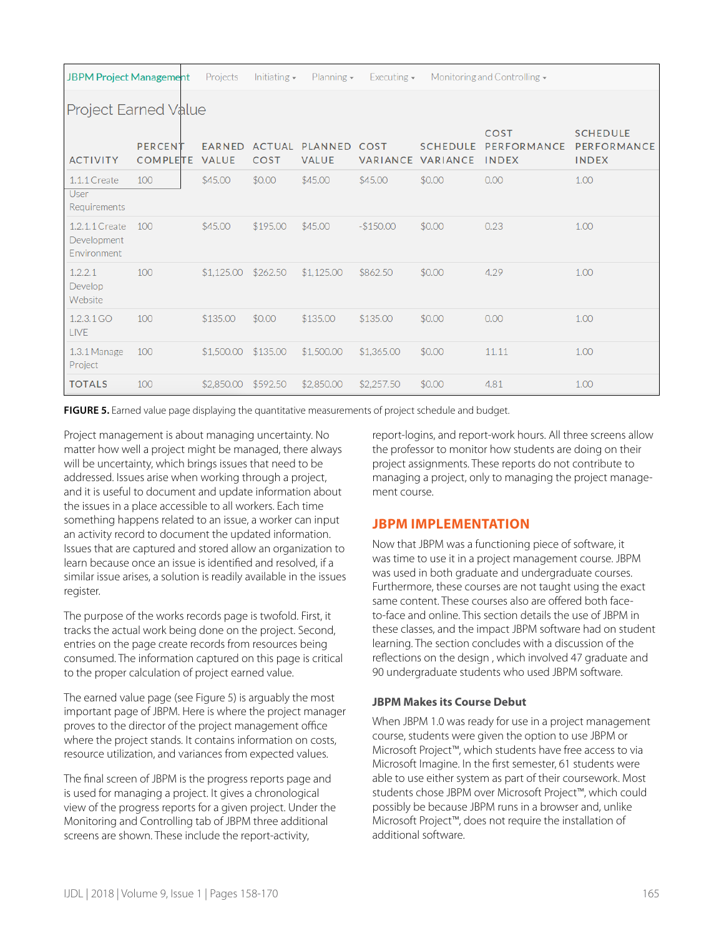| <b>JBPM Project Management</b>               |                            | Projects                      | Initiating $\sim$            | Planning $\sim$                | Executing $\sim$        |                             | Monitoring and Controlling $\overline{\phantom{a}}$ |                                                |
|----------------------------------------------|----------------------------|-------------------------------|------------------------------|--------------------------------|-------------------------|-----------------------------|-----------------------------------------------------|------------------------------------------------|
| <b>Project Earned Value</b>                  |                            |                               |                              |                                |                         |                             |                                                     |                                                |
| <b>ACTIVITY</b>                              | PERCENT<br><b>COMPLETE</b> | <b>EARNED</b><br><b>VALUE</b> | <b>ACTUAL</b><br><b>COST</b> | <b>PLANNED</b><br><b>VALUE</b> | COST<br><b>VARIANCE</b> | <b>SCHEDULE</b><br>VARIANCE | COST<br>PERFORMANCE<br><b>INDEX</b>                 | <b>SCHEDULE</b><br>PERFORMANCE<br><b>INDEX</b> |
| $1.1.1$ Create<br>User<br>Requirements       | 100                        | \$45.00                       | \$0.00                       | \$45.00                        | \$45.00                 | \$0.00                      | 0.00                                                | 1.00                                           |
| 1.2.1.1 Create<br>Development<br>Environment | 100                        | \$45.00                       | \$195.00                     | \$45,00                        | $-$150.00$              | \$0.00                      | 0.23                                                | 1.00                                           |
| 1.2.2.1<br>Develop<br>Website                | 100                        | \$1,125,00                    | \$262.50                     | \$1,125.00                     | \$862.50                | \$0.00                      | 4.29                                                | 1.00                                           |
| 1.2.3.1 GO<br><b>LIVE</b>                    | 100                        | \$135.00                      | \$0.00                       | \$135.00                       | \$135.00                | \$0.00                      | 0.00                                                | 1.00                                           |
| $1.3.1$ Manage<br>Project                    | 100                        | \$1,500.00                    | \$135.00                     | \$1,500.00                     | \$1,365,00              | \$0.00                      | 11.11                                               | 1.00                                           |
| <b>TOTALS</b>                                | 100                        | \$2,850,00                    | \$592.50                     | \$2,850.00                     | \$2,257.50              | \$0.00                      | 4.81                                                | 1.00                                           |

**FIGURE 5.** Earned value page displaying the quantitative measurements of project schedule and budget.

Project management is about managing uncertainty. No matter how well a project might be managed, there always will be uncertainty, which brings issues that need to be addressed. Issues arise when working through a project, and it is useful to document and update information about the issues in a place accessible to all workers. Each time something happens related to an issue, a worker can input an activity record to document the updated information. Issues that are captured and stored allow an organization to learn because once an issue is identified and resolved, if a similar issue arises, a solution is readily available in the issues register.

The purpose of the works records page is twofold. First, it tracks the actual work being done on the project. Second, entries on the page create records from resources being consumed. The information captured on this page is critical to the proper calculation of project earned value.

The earned value page (see Figure 5) is arguably the most important page of JBPM. Here is where the project manager proves to the director of the project management office where the project stands. It contains information on costs, resource utilization, and variances from expected values.

The final screen of JBPM is the progress reports page and is used for managing a project. It gives a chronological view of the progress reports for a given project. Under the Monitoring and Controlling tab of JBPM three additional screens are shown. These include the report-activity,

report-logins, and report-work hours. All three screens allow the professor to monitor how students are doing on their project assignments. These reports do not contribute to managing a project, only to managing the project management course.

# **JBPM IMPLEMENTATION**

Now that JBPM was a functioning piece of software, it was time to use it in a project management course. JBPM was used in both graduate and undergraduate courses. Furthermore, these courses are not taught using the exact same content. These courses also are offered both faceto-face and online. This section details the use of JBPM in these classes, and the impact JBPM software had on student learning. The section concludes with a discussion of the reflections on the design , which involved 47 graduate and 90 undergraduate students who used JBPM software.

#### **JBPM Makes its Course Debut**

When JBPM 1.0 was ready for use in a project management course, students were given the option to use JBPM or Microsoft Project™, which students have free access to via Microsoft Imagine. In the first semester, 61 students were able to use either system as part of their coursework. Most students chose JBPM over Microsoft Project™, which could possibly be because JBPM runs in a browser and, unlike Microsoft Project™, does not require the installation of additional software.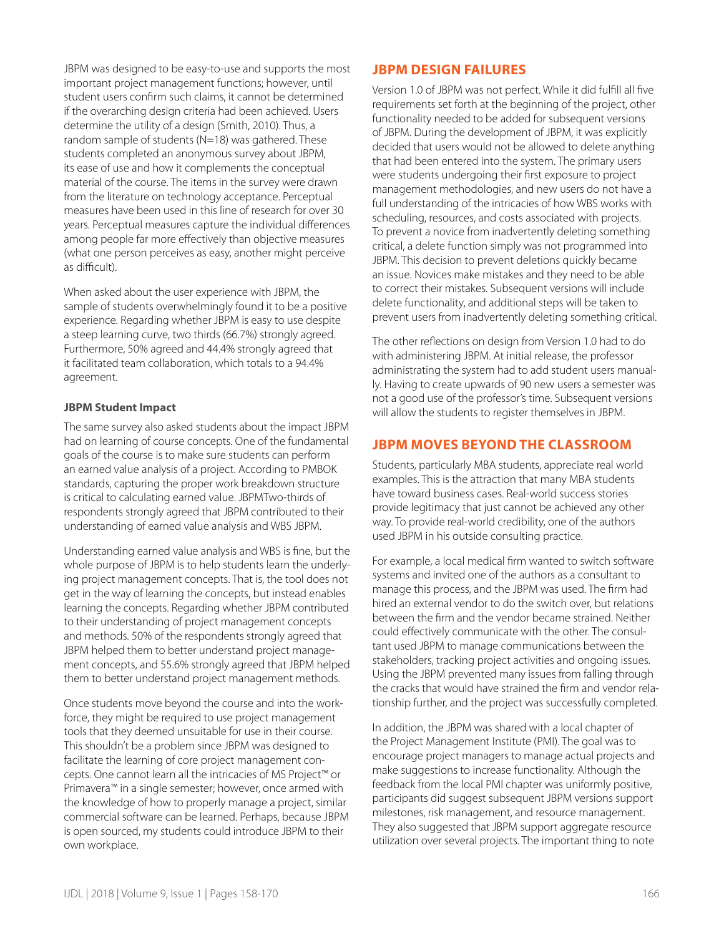JBPM was designed to be easy-to-use and supports the most important project management functions; however, until student users confirm such claims, it cannot be determined if the overarching design criteria had been achieved. Users determine the utility of a design (Smith, 2010). Thus, a random sample of students (N=18) was gathered. These students completed an anonymous survey about JBPM, its ease of use and how it complements the conceptual material of the course. The items in the survey were drawn from the literature on technology acceptance. Perceptual measures have been used in this line of research for over 30 years. Perceptual measures capture the individual differences among people far more effectively than objective measures (what one person perceives as easy, another might perceive as difficult).

When asked about the user experience with JBPM, the sample of students overwhelmingly found it to be a positive experience. Regarding whether JBPM is easy to use despite a steep learning curve, two thirds (66.7%) strongly agreed. Furthermore, 50% agreed and 44.4% strongly agreed that it facilitated team collaboration, which totals to a 94.4% agreement.

#### **JBPM Student Impact**

The same survey also asked students about the impact JBPM had on learning of course concepts. One of the fundamental goals of the course is to make sure students can perform an earned value analysis of a project. According to PMBOK standards, capturing the proper work breakdown structure is critical to calculating earned value. JBPMTwo-thirds of respondents strongly agreed that JBPM contributed to their understanding of earned value analysis and WBS JBPM.

Understanding earned value analysis and WBS is fine, but the whole purpose of JBPM is to help students learn the underlying project management concepts. That is, the tool does not get in the way of learning the concepts, but instead enables learning the concepts. Regarding whether JBPM contributed to their understanding of project management concepts and methods. 50% of the respondents strongly agreed that JBPM helped them to better understand project management concepts, and 55.6% strongly agreed that JBPM helped them to better understand project management methods.

Once students move beyond the course and into the workforce, they might be required to use project management tools that they deemed unsuitable for use in their course. This shouldn't be a problem since JBPM was designed to facilitate the learning of core project management concepts. One cannot learn all the intricacies of MS Project™ or Primavera™ in a single semester; however, once armed with the knowledge of how to properly manage a project, similar commercial software can be learned. Perhaps, because JBPM is open sourced, my students could introduce JBPM to their own workplace.

# **JBPM DESIGN FAILURES**

Version 1.0 of JBPM was not perfect. While it did fulfill all five requirements set forth at the beginning of the project, other functionality needed to be added for subsequent versions of JBPM. During the development of JBPM, it was explicitly decided that users would not be allowed to delete anything that had been entered into the system. The primary users were students undergoing their first exposure to project management methodologies, and new users do not have a full understanding of the intricacies of how WBS works with scheduling, resources, and costs associated with projects. To prevent a novice from inadvertently deleting something critical, a delete function simply was not programmed into JBPM. This decision to prevent deletions quickly became an issue. Novices make mistakes and they need to be able to correct their mistakes. Subsequent versions will include delete functionality, and additional steps will be taken to prevent users from inadvertently deleting something critical.

The other reflections on design from Version 1.0 had to do with administering JBPM. At initial release, the professor administrating the system had to add student users manually. Having to create upwards of 90 new users a semester was not a good use of the professor's time. Subsequent versions will allow the students to register themselves in JBPM.

# **JBPM MOVES BEYOND THE CLASSROOM**

Students, particularly MBA students, appreciate real world examples. This is the attraction that many MBA students have toward business cases. Real-world success stories provide legitimacy that just cannot be achieved any other way. To provide real-world credibility, one of the authors used JBPM in his outside consulting practice.

For example, a local medical firm wanted to switch software systems and invited one of the authors as a consultant to manage this process, and the JBPM was used. The firm had hired an external vendor to do the switch over, but relations between the firm and the vendor became strained. Neither could effectively communicate with the other. The consultant used JBPM to manage communications between the stakeholders, tracking project activities and ongoing issues. Using the JBPM prevented many issues from falling through the cracks that would have strained the firm and vendor relationship further, and the project was successfully completed.

In addition, the JBPM was shared with a local chapter of the Project Management Institute (PMI). The goal was to encourage project managers to manage actual projects and make suggestions to increase functionality. Although the feedback from the local PMI chapter was uniformly positive, participants did suggest subsequent JBPM versions support milestones, risk management, and resource management. They also suggested that JBPM support aggregate resource utilization over several projects. The important thing to note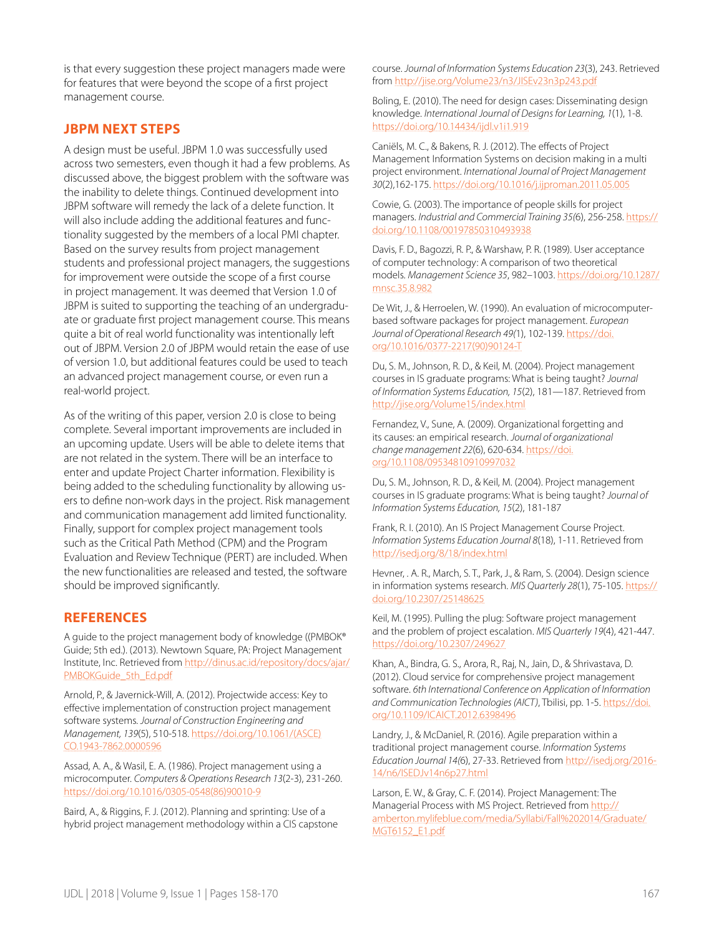is that every suggestion these project managers made were for features that were beyond the scope of a first project management course.

#### **JBPM NEXT STEPS**

A design must be useful. JBPM 1.0 was successfully used across two semesters, even though it had a few problems. As discussed above, the biggest problem with the software was the inability to delete things. Continued development into JBPM software will remedy the lack of a delete function. It will also include adding the additional features and functionality suggested by the members of a local PMI chapter. Based on the survey results from project management students and professional project managers, the suggestions for improvement were outside the scope of a first course in project management. It was deemed that Version 1.0 of JBPM is suited to supporting the teaching of an undergraduate or graduate first project management course. This means quite a bit of real world functionality was intentionally left out of JBPM. Version 2.0 of JBPM would retain the ease of use of version 1.0, but additional features could be used to teach an advanced project management course, or even run a real-world project.

As of the writing of this paper, version 2.0 is close to being complete. Several important improvements are included in an upcoming update. Users will be able to delete items that are not related in the system. There will be an interface to enter and update Project Charter information. Flexibility is being added to the scheduling functionality by allowing users to define non-work days in the project. Risk management and communication management add limited functionality. Finally, support for complex project management tools such as the Critical Path Method (CPM) and the Program Evaluation and Review Technique (PERT) are included. When the new functionalities are released and tested, the software should be improved significantly.

#### **REFERENCES**

A guide to the project management body of knowledge ((PMBOK® Guide; 5th ed.). (2013). Newtown Square, PA: Project Management Institute, Inc. Retrieved from [http://dinus.ac.id/repository/docs/ajar/](http://dinus.ac.id/repository/docs/ajar/PMBOKGuide_5th_Ed.pdf) [PMBOKGuide\\_5th\\_Ed.pdf](http://dinus.ac.id/repository/docs/ajar/PMBOKGuide_5th_Ed.pdf)

Arnold, P., & Javernick-Will, A. (2012). Projectwide access: Key to effective implementation of construction project management software systems. *Journal of Construction Engineering and Management, 139*(5), 510-518. [https://doi.org/10.1061/\(ASCE\)](https://doi.org/10.1061/(ASCE)CO.1943-7862.0000596) [CO.1943-7862.0000596](https://doi.org/10.1061/(ASCE)CO.1943-7862.0000596)

Assad, A. A., & Wasil, E. A. (1986). Project management using a microcomputer. *Computers & Operations Research 13*(2-3), 231-260. [https://doi.org/10.1016/0305-0548\(86\)90010-9](https://doi.org/10.1016/0305-0548(86)90010-9)

Baird, A., & Riggins, F. J. (2012). Planning and sprinting: Use of a hybrid project management methodology within a CIS capstone course. *Journal of Information Systems Education 23*(3), 243. Retrieved from<http://jise.org/Volume23/n3/JISEv23n3p243.pdf>

Boling, E. (2010). The need for design cases: Disseminating design knowledge. *International Journal of Designs for Learning, 1*(1), 1-8. <https://doi.org/10.14434/ijdl.v1i1.919>

Caniëls, M. C., & Bakens, R. J. (2012). The effects of Project Management Information Systems on decision making in a multi project environment. *International Journal of Project Management 30*(2),162-175. <https://doi.org/10.1016/j.ijproman.2011.05.005>

Cowie, G. (2003). The importance of people skills for project managers. *Industrial and Commercial Training 35(*6), 256-258. [https://](https://doi.org/10.1108/00197850310493938) [doi.org/10.1108/00197850310493938](https://doi.org/10.1108/00197850310493938)

Davis, F. D., Bagozzi, R. P., & Warshaw, P. R. (1989). User acceptance of computer technology: A comparison of two theoretical models. *Management Science 35*, 982–1003. [https://doi.org/10.1287/](https://doi.org/10.1287/mnsc.35.8.982) [mnsc.35.8.982](https://doi.org/10.1287/mnsc.35.8.982)

De Wit, J., & Herroelen, W. (1990). An evaluation of microcomputerbased software packages for project management. *European Journal of Operational Research 49(*1), 102-139. [https://doi.](https://doi.org/10.1016/0377-2217(90)90124-T) [org/10.1016/0377-2217\(90\)90124-T](https://doi.org/10.1016/0377-2217(90)90124-T)

Du, S. M., Johnson, R. D., & Keil, M. (2004). Project management courses in IS graduate programs: What is being taught? *Journal of Information Systems Education, 15*(2), 181—187. Retrieved from <http://jise.org/Volume15/index.html>

Fernandez, V., Sune, A. (2009). Organizational forgetting and its causes: an empirical research. *Journal of organizational change management 22*(6), 620-634. [https://doi.](https://doi.org/10.1108/09534810910997032) [org/10.1108/09534810910997032](https://doi.org/10.1108/09534810910997032)

Du, S. M., Johnson, R. D., & Keil, M. (2004). Project management courses in IS graduate programs: What is being taught? *Journal of Information Systems Education, 15*(2), 181-187

Frank, R. I. (2010). An IS Project Management Course Project. *Information Systems Education Journal 8*(18), 1-11. Retrieved from <http://isedj.org/8/18/index.html>

Hevner, . A. R., March, S. T., Park, J., & Ram, S. (2004). Design science in information systems research. *MIS Quarterly 28*(1), 75-105. [https://](https://doi.org/10.2307/25148625) [doi.org/10.2307/25148625](https://doi.org/10.2307/25148625)

Keil, M. (1995). Pulling the plug: Software project management and the problem of project escalation. *MIS Quarterly 19*(4), 421-447. <https://doi.org/10.2307/249627>

Khan, A., Bindra, G. S., Arora, R., Raj, N., Jain, D., & Shrivastava, D. (2012). Cloud service for comprehensive project management software. *6th International Conference on Application of Information and Communication Technologies (AICT)*, Tbilisi, pp. 1-5. [https://doi.](https://doi.org/10.1109/ICAICT.2012.6398496) [org/10.1109/ICAICT.2012.6398496](https://doi.org/10.1109/ICAICT.2012.6398496)

Landry, J., & McDaniel, R. (2016). Agile preparation within a traditional project management course. *Information Systems Education Journal 14(*6), 27-33. Retrieved from [http://isedj.org/2016-](http://isedj.org/2016-14/n6/ISEDJv14n6p27.html) [14/n6/ISEDJv14n6p27.html](http://isedj.org/2016-14/n6/ISEDJv14n6p27.html)

Larson, E. W., & Gray, C. F. (2014). Project Management: The Managerial Process with MS Project. Retrieved from [http://](http://amberton.mylifeblue.com/media/Syllabi/Fall%202014/Graduate/MGT6152_E1.pdf) [amberton.mylifeblue.com/media/Syllabi/Fall%202014/Graduate/](http://amberton.mylifeblue.com/media/Syllabi/Fall%202014/Graduate/MGT6152_E1.pdf) [MGT6152\\_E1.pdf](http://amberton.mylifeblue.com/media/Syllabi/Fall%202014/Graduate/MGT6152_E1.pdf)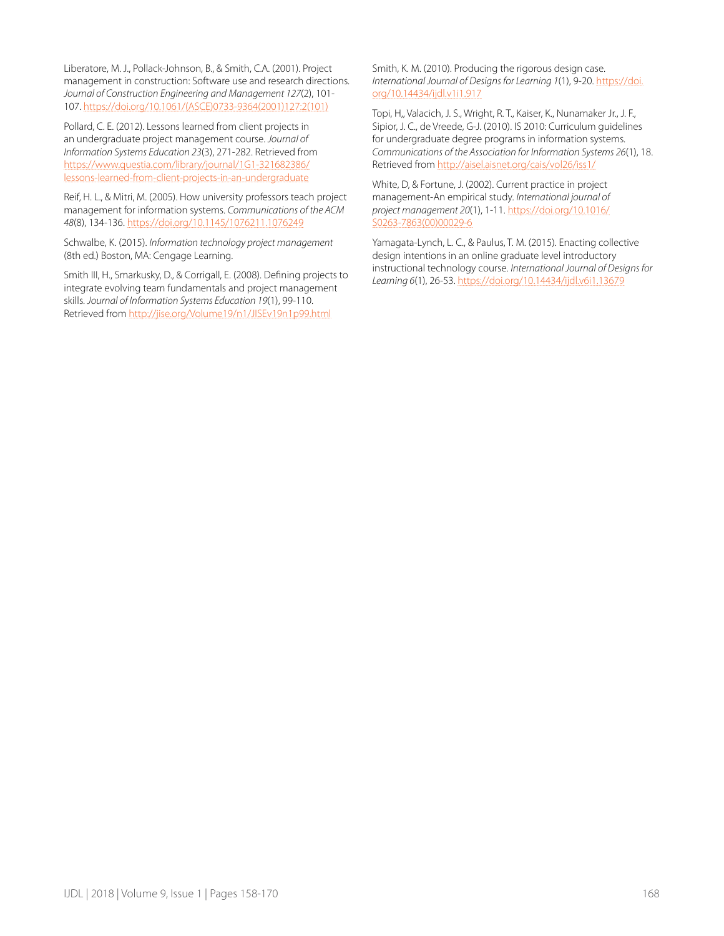Liberatore, M. J., Pollack-Johnson, B., & Smith, C.A. (2001). Project management in construction: Software use and research directions. *Journal of Construction Engineering and Management 127*(2), 101- 107. [https://doi.org/10.1061/\(ASCE\)0733-9364\(2001\)127:2\(101\)](https://doi.org/10.1061/(ASCE)0733-9364(2001)127:2(101))

Pollard, C. E. (2012). Lessons learned from client projects in an undergraduate project management course. *Journal of Information Systems Education 23*(3), 271-282. Retrieved from [https://www.questia.com/library/journal/1G1-321682386/](https://www.questia.com/library/journal/1G1-321682386/lessons-learned-from-client-projects-in-an-undergraduate) [lessons-learned-from-client-projects-in-an-undergraduate](https://www.questia.com/library/journal/1G1-321682386/lessons-learned-from-client-projects-in-an-undergraduate)

Reif, H. L., & Mitri, M. (2005). How university professors teach project management for information systems. *Communications of the ACM 48*(8), 134-136. <https://doi.org/10.1145/1076211.1076249>

Schwalbe, K. (2015). *Information technology project management*  (8th ed.) Boston, MA: Cengage Learning.

Smith III, H., Smarkusky, D., & Corrigall, E. (2008). Defining projects to integrate evolving team fundamentals and project management skills. *Journal of Information Systems Education 19*(1), 99-110. Retrieved from<http://jise.org/Volume19/n1/JISEv19n1p99.html>

Smith, K. M. (2010). Producing the rigorous design case. *International Journal of Designs for Learning 1*(1), 9-20. [https://doi.](https://doi.org/10.14434/ijdl.v1i1.917) [org/10.14434/ijdl.v1i1.917](https://doi.org/10.14434/ijdl.v1i1.917)

Topi, H,, Valacich, J. S., Wright, R. T., Kaiser, K., Nunamaker Jr., J. F., Sipior, J. C., de Vreede, G-J. (2010). IS 2010: Curriculum guidelines for undergraduate degree programs in information systems. *Communications of the Association for Information Systems 26*(1), 18. Retrieved from<http://aisel.aisnet.org/cais/vol26/iss1/>

White, D, & Fortune, J. (2002). Current practice in project management-An empirical study. *International journal of project management 20*(1), 1-11. [https://doi.org/10.1016/](https://doi.org/10.1016/S0263-7863(00)00029-6) 263-7863(00)00029-6

Yamagata-Lynch, L. C., & Paulus, T. M. (2015). Enacting collective design intentions in an online graduate level introductory instructional technology course. *International Journal of Designs for Learning 6*(1), 26-53.<https://doi.org/10.14434/ijdl.v6i1.13679>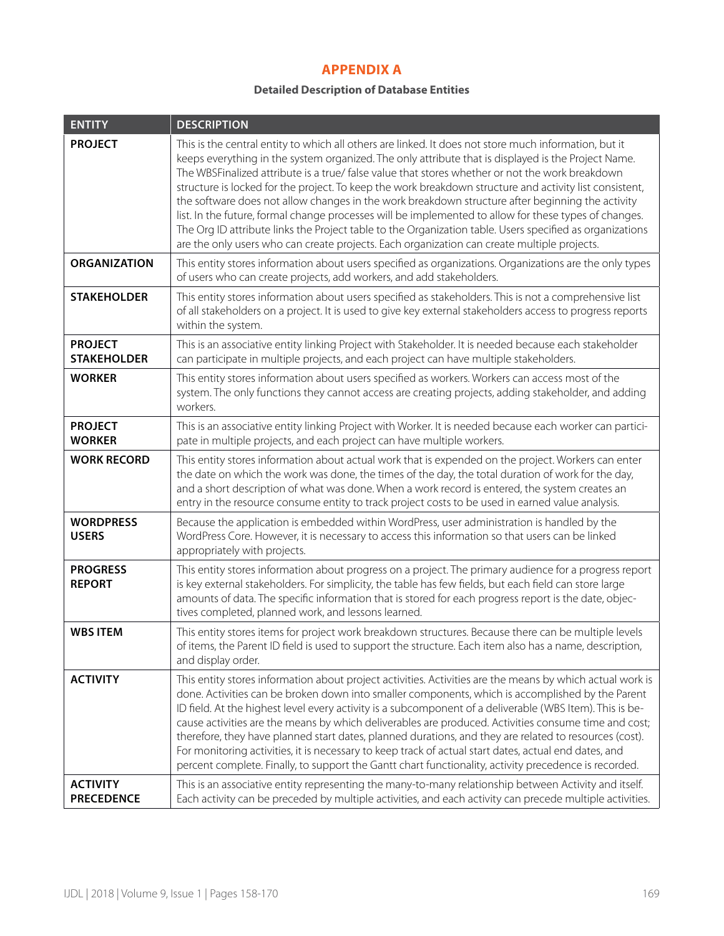# **APPENDIX A**

#### **Detailed Description of Database Entities**

| <b>ENTITY</b>                        | <b>DESCRIPTION</b>                                                                                                                                                                                                                                                                                                                                                                                                                                                                                                                                                                                                                                                                                                                                                                                                                                 |
|--------------------------------------|----------------------------------------------------------------------------------------------------------------------------------------------------------------------------------------------------------------------------------------------------------------------------------------------------------------------------------------------------------------------------------------------------------------------------------------------------------------------------------------------------------------------------------------------------------------------------------------------------------------------------------------------------------------------------------------------------------------------------------------------------------------------------------------------------------------------------------------------------|
| <b>PROJECT</b>                       | This is the central entity to which all others are linked. It does not store much information, but it<br>keeps everything in the system organized. The only attribute that is displayed is the Project Name.<br>The WBSFinalized attribute is a true/ false value that stores whether or not the work breakdown<br>structure is locked for the project. To keep the work breakdown structure and activity list consistent,<br>the software does not allow changes in the work breakdown structure after beginning the activity<br>list. In the future, formal change processes will be implemented to allow for these types of changes.<br>The Org ID attribute links the Project table to the Organization table. Users specified as organizations<br>are the only users who can create projects. Each organization can create multiple projects. |
| <b>ORGANIZATION</b>                  | This entity stores information about users specified as organizations. Organizations are the only types<br>of users who can create projects, add workers, and add stakeholders.                                                                                                                                                                                                                                                                                                                                                                                                                                                                                                                                                                                                                                                                    |
| <b>STAKEHOLDER</b>                   | This entity stores information about users specified as stakeholders. This is not a comprehensive list<br>of all stakeholders on a project. It is used to give key external stakeholders access to progress reports<br>within the system.                                                                                                                                                                                                                                                                                                                                                                                                                                                                                                                                                                                                          |
| <b>PROJECT</b><br><b>STAKEHOLDER</b> | This is an associative entity linking Project with Stakeholder. It is needed because each stakeholder<br>can participate in multiple projects, and each project can have multiple stakeholders.                                                                                                                                                                                                                                                                                                                                                                                                                                                                                                                                                                                                                                                    |
| <b>WORKER</b>                        | This entity stores information about users specified as workers. Workers can access most of the<br>system. The only functions they cannot access are creating projects, adding stakeholder, and adding<br>workers.                                                                                                                                                                                                                                                                                                                                                                                                                                                                                                                                                                                                                                 |
| <b>PROJECT</b><br><b>WORKER</b>      | This is an associative entity linking Project with Worker. It is needed because each worker can partici-<br>pate in multiple projects, and each project can have multiple workers.                                                                                                                                                                                                                                                                                                                                                                                                                                                                                                                                                                                                                                                                 |
| <b>WORK RECORD</b>                   | This entity stores information about actual work that is expended on the project. Workers can enter<br>the date on which the work was done, the times of the day, the total duration of work for the day,<br>and a short description of what was done. When a work record is entered, the system creates an<br>entry in the resource consume entity to track project costs to be used in earned value analysis.                                                                                                                                                                                                                                                                                                                                                                                                                                    |
| <b>WORDPRESS</b><br><b>USERS</b>     | Because the application is embedded within WordPress, user administration is handled by the<br>WordPress Core. However, it is necessary to access this information so that users can be linked<br>appropriately with projects.                                                                                                                                                                                                                                                                                                                                                                                                                                                                                                                                                                                                                     |
| <b>PROGRESS</b><br><b>REPORT</b>     | This entity stores information about progress on a project. The primary audience for a progress report<br>is key external stakeholders. For simplicity, the table has few fields, but each field can store large<br>amounts of data. The specific information that is stored for each progress report is the date, objec-<br>tives completed, planned work, and lessons learned.                                                                                                                                                                                                                                                                                                                                                                                                                                                                   |
| <b>WBS ITEM</b>                      | This entity stores items for project work breakdown structures. Because there can be multiple levels<br>of items, the Parent ID field is used to support the structure. Each item also has a name, description,<br>and display order.                                                                                                                                                                                                                                                                                                                                                                                                                                                                                                                                                                                                              |
| <b>ACTIVITY</b>                      | This entity stores information about project activities. Activities are the means by which actual work is<br>done. Activities can be broken down into smaller components, which is accomplished by the Parent<br>ID field. At the highest level every activity is a subcomponent of a deliverable (WBS Item). This is be-<br>cause activities are the means by which deliverables are produced. Activities consume time and cost;<br>therefore, they have planned start dates, planned durations, and they are related to resources (cost).<br>For monitoring activities, it is necessary to keep track of actual start dates, actual end dates, and<br>percent complete. Finally, to support the Gantt chart functionality, activity precedence is recorded.                                                                                      |
| <b>ACTIVITY</b><br><b>PRECEDENCE</b> | This is an associative entity representing the many-to-many relationship between Activity and itself.<br>Each activity can be preceded by multiple activities, and each activity can precede multiple activities.                                                                                                                                                                                                                                                                                                                                                                                                                                                                                                                                                                                                                                  |